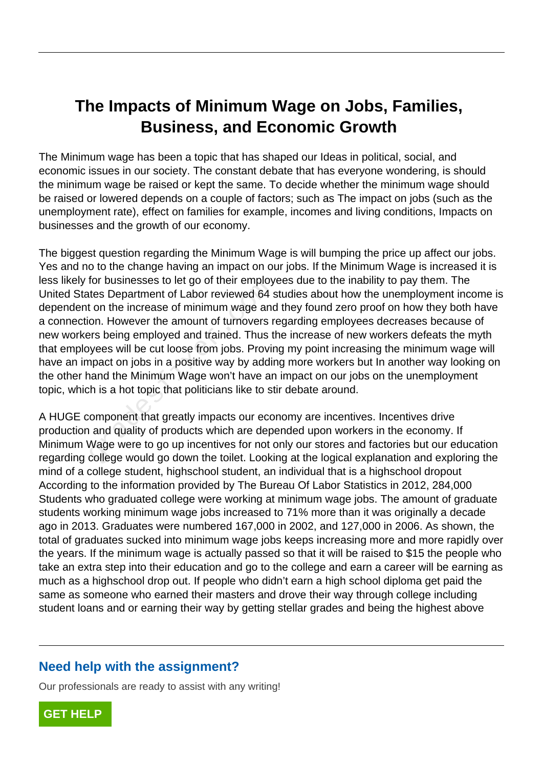## **The Impacts of Minimum Wage on Jobs, Families, Business, and Economic Growth**

The Minimum wage has been a topic that has shaped our Ideas in political, social, and economic issues in our society. The constant debate that has everyone wondering, is should the minimum wage be raised or kept the same. To decide whether the minimum wage should be raised or lowered depends on a couple of factors; such as The impact on jobs (such as the unemployment rate), effect on families for example, incomes and living conditions, Impacts on businesses and the growth of our economy.

The biggest question regarding the Minimum Wage is will bumping the price up affect our jobs. Yes and no to the change having an impact on our jobs. If the Minimum Wage is increased it is less likely for businesses to let go of their employees due to the inability to pay them. The United States Department of Labor reviewed 64 studies about how the unemployment income is dependent on the increase of minimum wage and they found zero proof on how they both have a connection. However the amount of turnovers regarding employees decreases because of new workers being employed and trained. Thus the increase of new workers defeats the myth that employees will be cut loose from jobs. Proving my point increasing the minimum wage will have an impact on jobs in a positive way by adding more workers but In another way looking on the other hand the Minimum Wage won't have an impact on our jobs on the unemployment topic, which is a hot topic that politicians like to stir debate around. For businesses to let go of their employs<br>tes Department of Labor reviewed 64 s<br>t on the increase of minimum wage and<br>on. However the amount of turnovers r<br>rs being employed and trained. Thus t<br>yees will be cut loose from

A HUGE component that greatly impacts our economy are incentives. Incentives drive production and quality of products which are depended upon workers in the economy. If Minimum Wage were to go up incentives for not only our stores and factories but our education regarding college would go down the toilet. Looking at the logical explanation and exploring the mind of a college student, highschool student, an individual that is a highschool dropout According to the information provided by The Bureau Of Labor Statistics in 2012, 284,000 Students who graduated college were working at minimum wage jobs. The amount of graduate students working minimum wage jobs increased to 71% more than it was originally a decade ago in 2013. Graduates were numbered 167,000 in 2002, and 127,000 in 2006. As shown, the total of graduates sucked into minimum wage jobs keeps increasing more and more rapidly over the years. If the minimum wage is actually passed so that it will be raised to \$15 the people who take an extra step into their education and go to the college and earn a career will be earning as much as a highschool drop out. If people who didn't earn a high school diploma get paid the same as someone who earned their masters and drove their way through college including student loans and or earning their way by getting stellar grades and being the highest above

## **Need help with the assignment?**

Our professionals are ready to assist with any writing!

**[GET HELP](https://my.gradesfixer.com/order?utm_campaign=pdf_sample)**